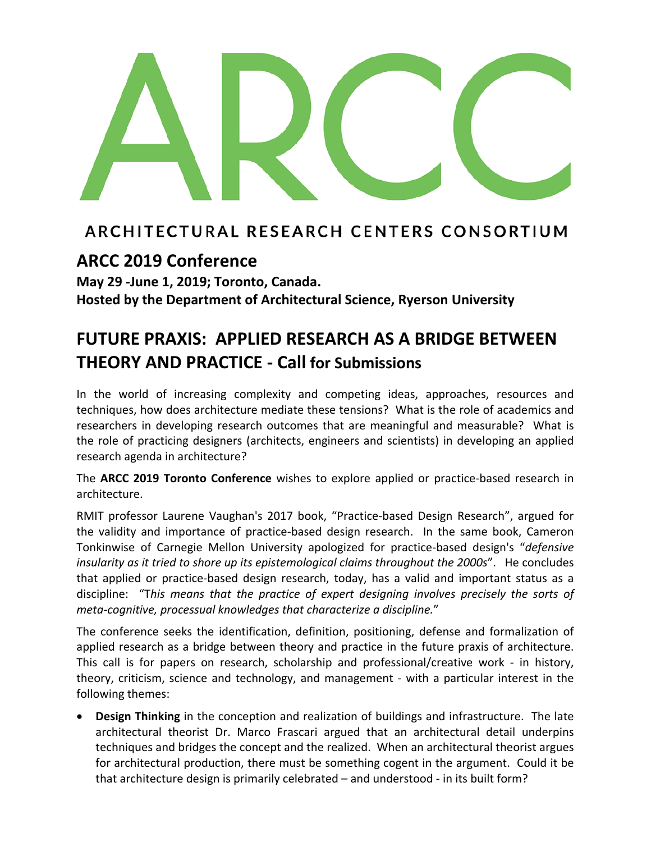

## ARCHITECTURAL RESEARCH CENTERS CONSORTIUM

## **ARCC 2019 Conference**

**May 29 ‐June 1, 2019; Toronto, Canada.**

**Hosted by the Department of Architectural Science, Ryerson University**

# **FUTURE PRAXIS: APPLIED RESEARCH AS A BRIDGE BETWEEN THEORY AND PRACTICE - Call for Submissions**

In the world of increasing complexity and competing ideas, approaches, resources and techniques, how does architecture mediate these tensions? What is the role of academics and researchers in developing research outcomes that are meaningful and measurable? What is the role of practicing designers (architects, engineers and scientists) in developing an applied research agenda in architecture?

The **ARCC 2019 Toronto Conference** wishes to explore applied or practice-based research in architecture.

RMIT professor Laurene Vaughan's 2017 book, "Practice-based Design Research", argued for the validity and importance of practice-based design research. In the same book, Cameron Tonkinwise of Carnegie Mellon University apologized for practice-based design's "*defensive insularity as it tried to shore up its epistemological claims throughout the 2000s".* He concludes that applied or practice-based design research, today, has a valid and important status as a discipline: "T*his means that the practice of expert designing involves precisely the sorts of meta-cognitive, processual knowledges that characterize a discipline.*"

The conference seeks the identification, definition, positioning, defense and formalization of applied research as a bridge between theory and practice in the future praxis of architecture. This call is for papers on research, scholarship and professional/creative work - in history, theory, criticism, science and technology, and management - with a particular interest in the following themes:

• **Design Thinking** in the conception and realization of buildings and infrastructure. The late architectural theorist Dr. Marco Frascari argued that an architectural detail underpins techniques and bridges the concept and the realized. When an architectural theorist argues for architectural production, there must be something cogent in the argument. Could it be that architecture design is primarily celebrated – and understood - in its built form?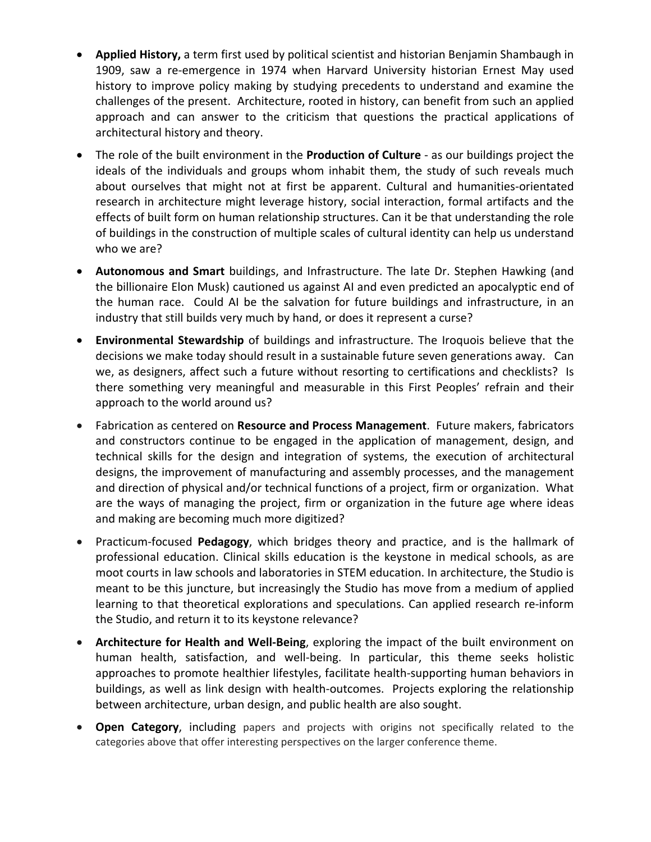- **Applied History,** a term first used by political scientist and historian Benjamin Shambaugh in 1909, saw a re-emergence in 1974 when Harvard University historian Ernest May used history to improve policy making by studying precedents to understand and examine the challenges of the present. Architecture, rooted in history, can benefit from such an applied approach and can answer to the criticism that questions the practical applications of architectural history and theory.
- The role of the built environment in the **Production of Culture** as our buildings project the ideals of the individuals and groups whom inhabit them, the study of such reveals much about ourselves that might not at first be apparent. Cultural and humanities-orientated research in architecture might leverage history, social interaction, formal artifacts and the effects of built form on human relationship structures. Can it be that understanding the role of buildings in the construction of multiple scales of cultural identity can help us understand who we are?
- **Autonomous and Smart** buildings, and Infrastructure. The late Dr. Stephen Hawking (and the billionaire Elon Musk) cautioned us against AI and even predicted an apocalyptic end of the human race. Could AI be the salvation for future buildings and infrastructure, in an industry that still builds very much by hand, or does it represent a curse?
- **Environmental Stewardship** of buildings and infrastructure. The Iroquois believe that the decisions we make today should result in a sustainable future seven generations away. Can we, as designers, affect such a future without resorting to certifications and checklists? Is there something very meaningful and measurable in this First Peoples' refrain and their approach to the world around us?
- Fabrication as centered on **Resource and Process Management**. Future makers, fabricators and constructors continue to be engaged in the application of management, design, and technical skills for the design and integration of systems, the execution of architectural designs, the improvement of manufacturing and assembly processes, and the management and direction of physical and/or technical functions of a project, firm or organization. What are the ways of managing the project, firm or organization in the future age where ideas and making are becoming much more digitized?
- Practicum-focused **Pedagogy**, which bridges theory and practice, and is the hallmark of professional education. Clinical skills education is the keystone in medical schools, as are moot courts in law schools and laboratories in STEM education. In architecture, the Studio is meant to be this juncture, but increasingly the Studio has move from a medium of applied learning to that theoretical explorations and speculations. Can applied research re-inform the Studio, and return it to its keystone relevance?
- **Architecture for Health and Well-Being**, exploring the impact of the built environment on human health, satisfaction, and well-being. In particular, this theme seeks holistic approaches to promote healthier lifestyles, facilitate health-supporting human behaviors in buildings, as well as link design with health-outcomes. Projects exploring the relationship between architecture, urban design, and public health are also sought.
- **Open Category**, including papers and projects with origins not specifically related to the categories above that offer interesting perspectives on the larger conference theme.